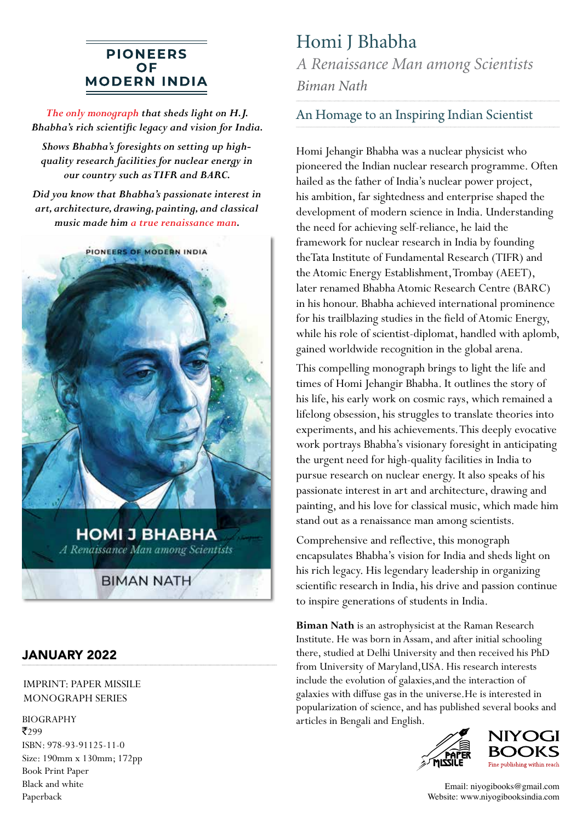### **PIONEERS OF MODERN INDIA**

*The only monograph that sheds light on H.J. Bhabha's rich scientific legacy and vision for India.*

*Shows Bhabha's foresights on setting up highquality research facilities for nuclear energy in our country such as TIFR and BARC.*

*Did you know that Bhabha's passionate interest in art, architecture, drawing, painting, and classical music made him a true renaissance man.*



A Renaissance Man among Scientists

**BIMAN NATH** 

### JANUARY 2022

#### IMPRINT: PAPER MISSILE MONOGRAPH SERIES

BIOGRAPHY articles in Bengali and English. ₹299 ISBN: 978-93-91125-11-0 Size: 190mm x 130mm; 172pp Book Print Paper Black and white Paperback

# Homi J Bhabha

*A Renaissance Man among Scientists Biman Nath*

### An Homage to an Inspiring Indian Scientist

Homi Jehangir Bhabha was a nuclear physicist who pioneered the Indian nuclear research programme. Often hailed as the father of India's nuclear power project, his ambition, far sightedness and enterprise shaped the development of modern science in India. Understanding the need for achieving self-reliance, he laid the framework for nuclear research in India by founding theTata Institute of Fundamental Research (TIFR) and the Atomic Energy Establishment, Trombay (AEET), later renamed Bhabha Atomic Research Centre (BARC) in his honour. Bhabha achieved international prominence for his trailblazing studies in the field of Atomic Energy, while his role of scientist-diplomat, handled with aplomb, gained worldwide recognition in the global arena.

This compelling monograph brings to light the life and times of Homi Jehangir Bhabha. It outlines the story of his life, his early work on cosmic rays, which remained a lifelong obsession, his struggles to translate theories into experiments, and his achievements. This deeply evocative work portrays Bhabha's visionary foresight in anticipating the urgent need for high-quality facilities in India to pursue research on nuclear energy. It also speaks of his passionate interest in art and architecture, drawing and painting, and his love for classical music, which made him stand out as a renaissance man among scientists.

Comprehensive and reflective, this monograph encapsulates Bhabha's vision for India and sheds light on his rich legacy. His legendary leadership in organizing scientific research in India, his drive and passion continue to inspire generations of students in India.

**Biman Nath** is an astrophysicist at the Raman Research Institute. He was born in Assam, and after initial schooling there, studied at Delhi University and then received his PhD from University of Maryland,USA. His research interests include the evolution of galaxies,and the interaction of galaxies with diffuse gas in the universe.He is interested in popularization of science, and has published several books and





Email: niyogibooks@gmail.com Website: www.niyogibooksindia.com